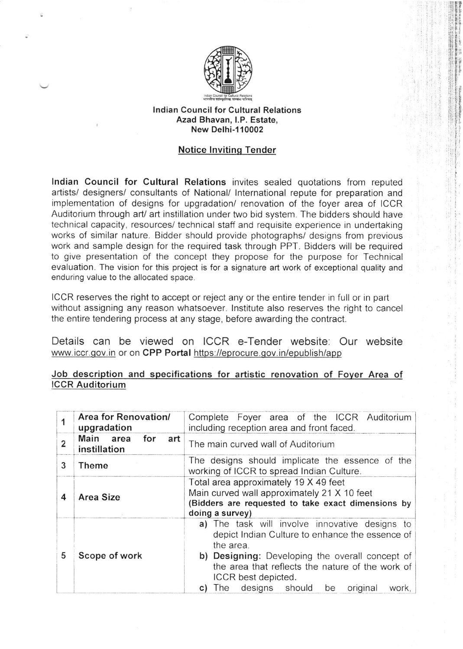

## lndian Council for Cultural Relations Azad Bhavan, l.P. Estate, New Delhi-1 10002

## Notice lnvitinq Tender

lndian Council for Cultural Relations invites sealed quotations from reputed artists/ designers/ consultants of National/ lnternational repute for preparation and implementation of designs for upgradation/ renovation of the foyer area of ICCR Auditorium through art/ art instillation under two bid system The bidders should have technical capacity, resources/ technical staff and requisite experience in undertaking works of similar nature. Bidder should provide photographs/ designs from previous work and sample design for the required task through PPT. Bidders will be required to give presentation of the concept they propose for the purpose for Technical evaluation. The vision for this project is for a signature art work of exceptional quality and enduring value to the allocated space.

ICCR reserves the right to accept or reject any or the entire tender in full or in part without assigning any reason whatsoever. lnstitute also reserves the right to cancel the entire tendering process at any stage, before awarding the contract.

Details can be viewed on ICCR e-Tender website: Our website www.iccr.gov.in or on CPP Portal https://eprocure.gov.in/epublish/app

## Job description and specifications for artistic renovation of Foyer Area of ICCR Auditorium

|                | Area for Renovation/<br>upgradation     | Complete Foyer area of the ICCR Auditorium<br>including reception area and front faced.                                                                                                                                                                                                                |
|----------------|-----------------------------------------|--------------------------------------------------------------------------------------------------------------------------------------------------------------------------------------------------------------------------------------------------------------------------------------------------------|
| $\overline{2}$ | Main area<br>for<br>art<br>instillation | The main curved wall of Auditorium                                                                                                                                                                                                                                                                     |
| 3              | Theme                                   | The designs should implicate the essence of the<br>working of ICCR to spread Indian Culture.                                                                                                                                                                                                           |
| 4              | <b>Area Size</b>                        | Total area approximately 19 X 49 feet<br>Main curved wall approximately 21 X 10 feet<br>(Bidders are requested to take exact dimensions by<br>doing a survey)                                                                                                                                          |
| 5              | Scope of work                           | a) The task will involve innovative designs to<br>depict Indian Culture to enhance the essence of<br>the area.<br>b) Designing: Developing the overall concept of<br>the area that reflects the nature of the work of<br>ICCR best depicted.<br>designs should<br>original<br>The<br>be<br>work,<br>C) |